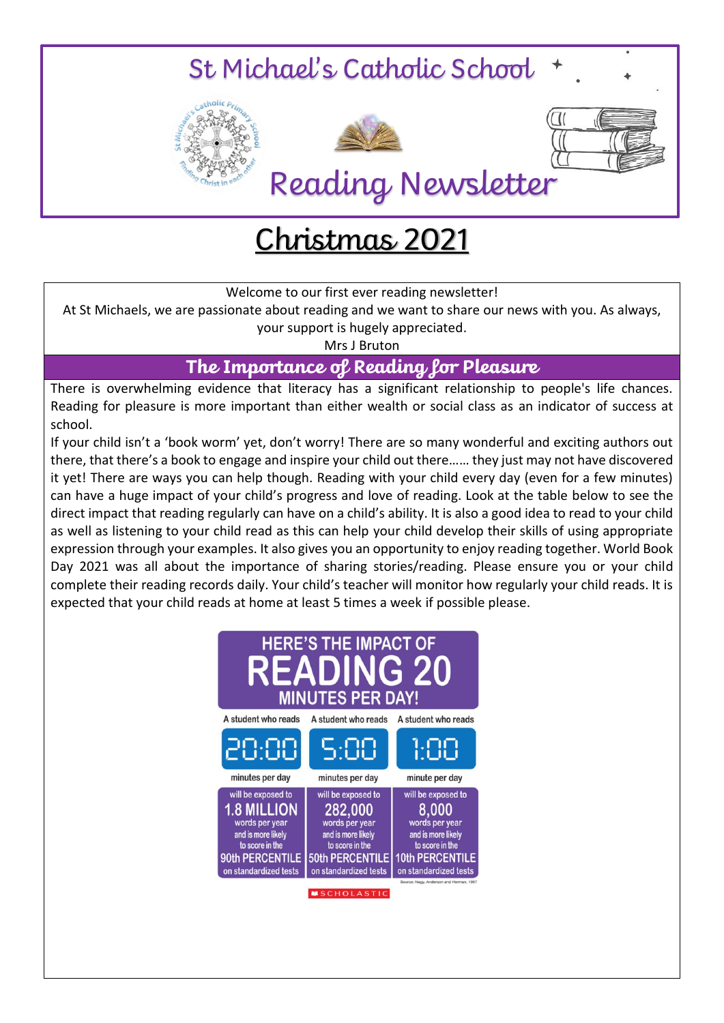

# Christmas 2021

Welcome to our first ever reading newsletter!

At St Michaels, we are passionate about reading and we want to share our news with you. As always, your support is hugely appreciated.

Mrs J Bruton

**The Importance of Reading for Pleasure**

There is overwhelming evidence that literacy has a significant relationship to people's life chances. Reading for pleasure is more important than either wealth or social class as an indicator of success at school.

If your child isn't a 'book worm' yet, don't worry! There are so many wonderful and exciting authors out there, that there's a book to engage and inspire your child out there…… they just may not have discovered it yet! There are ways you can help though. Reading with your child every day (even for a few minutes) can have a huge impact of your child's progress and love of reading. Look at the table below to see the direct impact that reading regularly can have on a child's ability. It is also a good idea to read to your child as well as listening to your child read as this can help your child develop their skills of using appropriate expression through your examples. It also gives you an opportunity to enjoy reading together. World Book Day 2021 was all about the importance of sharing stories/reading. Please ensure you or your child complete their reading records daily. Your child's teacher will monitor how regularly your child reads. It is expected that your child reads at home at least 5 times a week if possible please.

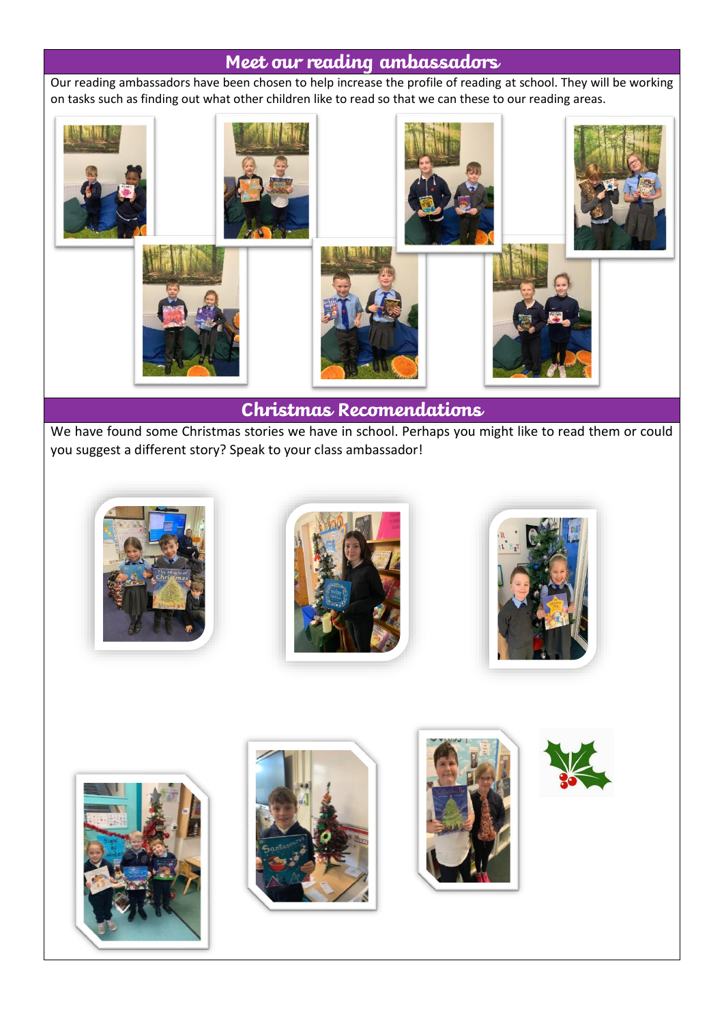#### **Meet our reading ambassadors**

Our reading ambassadors have been chosen to help increase the profile of reading at school. They will be working on tasks such as finding out what other children like to read so that we can these to our reading areas.



### **Christmas Recomendations**

We have found some Christmas stories we have in school. Perhaps you might like to read them or could you suggest a different story? Speak to your class ambassador!













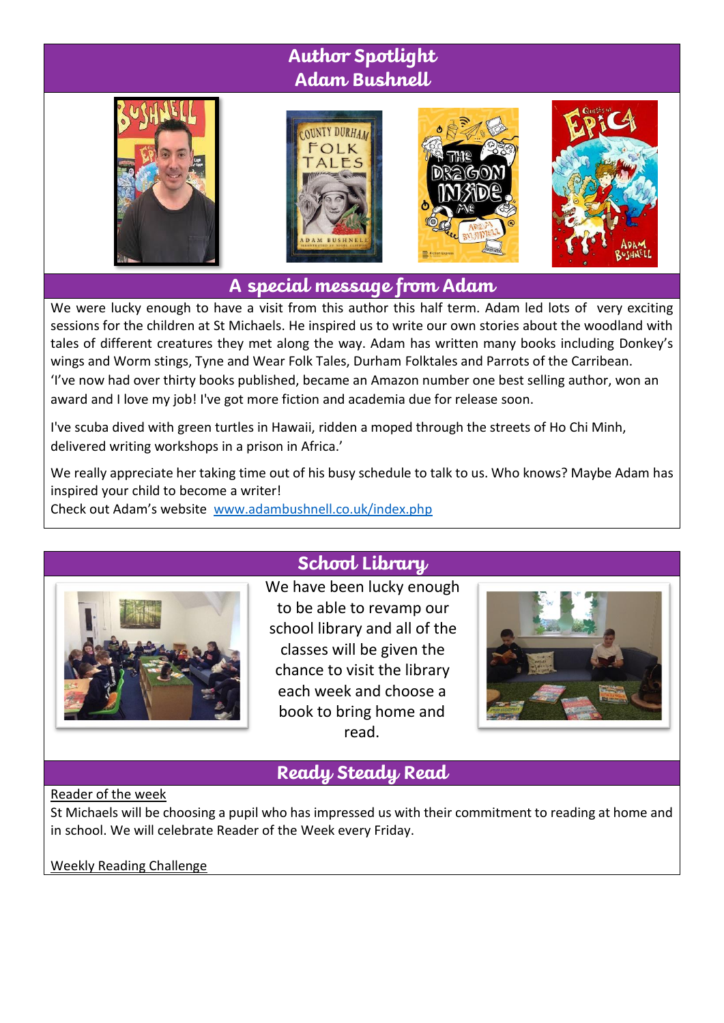# **Author Spotlight Adam Bushnell**









**A special message from Adam**

We were lucky enough to have a visit from this author this half term. Adam led lots of very exciting sessions for the children at St Michaels. He inspired us to write our own stories about the woodland with tales of different creatures they met along the way. Adam has written many books including Donkey's wings and Worm stings, Tyne and Wear Folk Tales, Durham Folktales and Parrots of the Carribean. 'I've now had over thirty books published, became an Amazon number one best selling author, won an award and I love my job! I've got more fiction and academia due for release soon.

I've scuba dived with green turtles in Hawaii, ridden a moped through the streets of Ho Chi Minh, delivered writing workshops in a prison in Africa.'

We really appreciate her taking time out of his busy schedule to talk to us. Who knows? Maybe Adam has inspired your child to become a writer!

Check out Adam's website [www.adambushnell.co.uk/index.php](http://www.adambushnell.co.uk/index.php)



## **School Library**

We have been lucky enough to be able to revamp our school library and all of the classes will be given the chance to visit the library each week and choose a book to bring home and read.



## **Ready Steady Read**

#### Reader of the week

St Michaels will be choosing a pupil who has impressed us with their commitment to reading at home and in school. We will celebrate Reader of the Week every Friday.

Weekly Reading Challenge